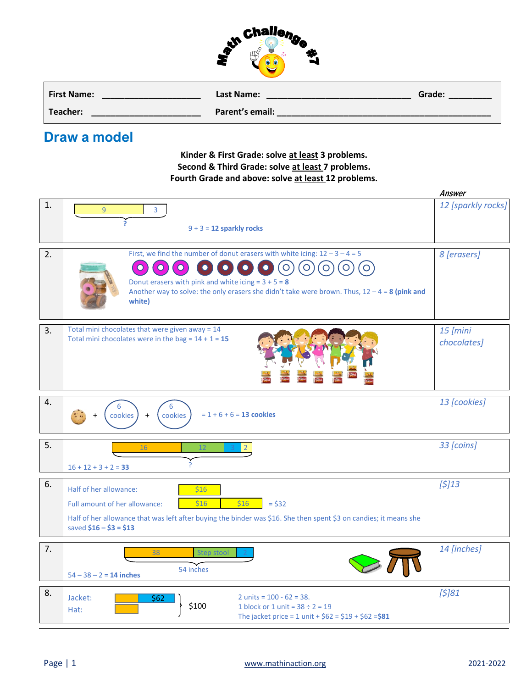

| <b>First Name:</b> | Last Name:             | Grade: |
|--------------------|------------------------|--------|
| Teacher:           | <b>Parent's email:</b> |        |

## **Draw a model**

**Kinder & First Grade: solve at least 3 problems. Second & Third Grade: solve at least 7 problems. Fourth Grade and above: solve at least 12 problems.**

|    |                                                                                                                                                                                                                                                                                                                          | Answer                    |
|----|--------------------------------------------------------------------------------------------------------------------------------------------------------------------------------------------------------------------------------------------------------------------------------------------------------------------------|---------------------------|
| 1. | $\overline{3}$<br>9                                                                                                                                                                                                                                                                                                      | 12 [sparkly rocks]        |
|    | $9 + 3 = 12$ sparkly rocks                                                                                                                                                                                                                                                                                               |                           |
| 2. | First, we find the number of donut erasers with white icing: $12 - 3 - 4 = 5$<br>$\bullet$<br>$\sigma$<br>$\overline{O}$<br>$\bullet$<br>$\bullet$<br>Donut erasers with pink and white icing = $3 + 5 = 8$<br>Another way to solve: the only erasers she didn't take were brown. Thus, $12 - 4 = 8$ (pink and<br>white) | 8 [erasers]               |
| 3. | Total mini chocolates that were given away = 14<br>Total mini chocolates were in the bag = $14 + 1 = 15$                                                                                                                                                                                                                 | $15$ [mini<br>chocolates] |
| 4. | 6<br>6<br>$= 1 + 6 + 6 = 13$ cookies<br>$+$<br>cookies<br>cookies                                                                                                                                                                                                                                                        | 13 [cookies]              |
| 5. | 16<br>12<br>$16 + 12 + 3 + 2 = 33$                                                                                                                                                                                                                                                                                       | 33 [coins]                |
| 6. | Half of her allowance:<br>\$16<br>\$16<br>\$16<br>Full amount of her allowance:<br>$= $32$<br>Half of her allowance that was left after buying the binder was \$16. She then spent \$3 on candies; it means she<br>saved $$16 - $3 = $13$                                                                                | [5]13                     |
| 7. | 38<br>Step stool<br>54 inches<br>$54 - 38 - 2 = 14$ inches                                                                                                                                                                                                                                                               | 14 [inches]               |
| 8. | Jacket:<br>2 units = $100 - 62 = 38$ .<br>\$62<br>\$100<br>1 block or 1 unit = $38 \div 2 = 19$<br>Hat:<br>The jacket price = 1 unit + $$62 = $19 + $62 = $81$                                                                                                                                                           | [5]81                     |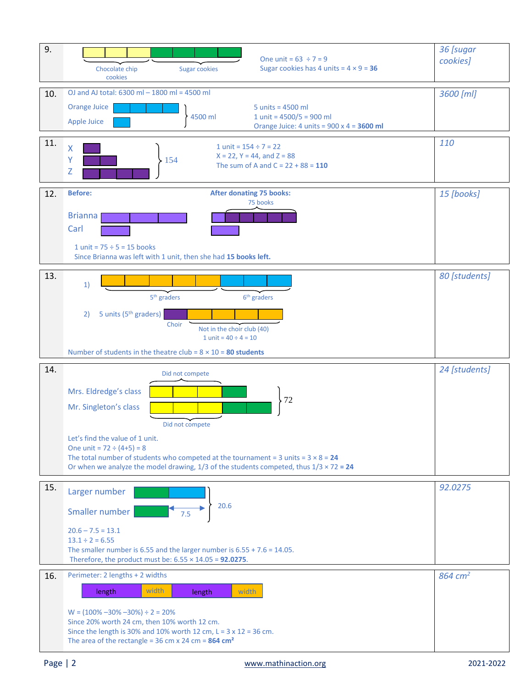